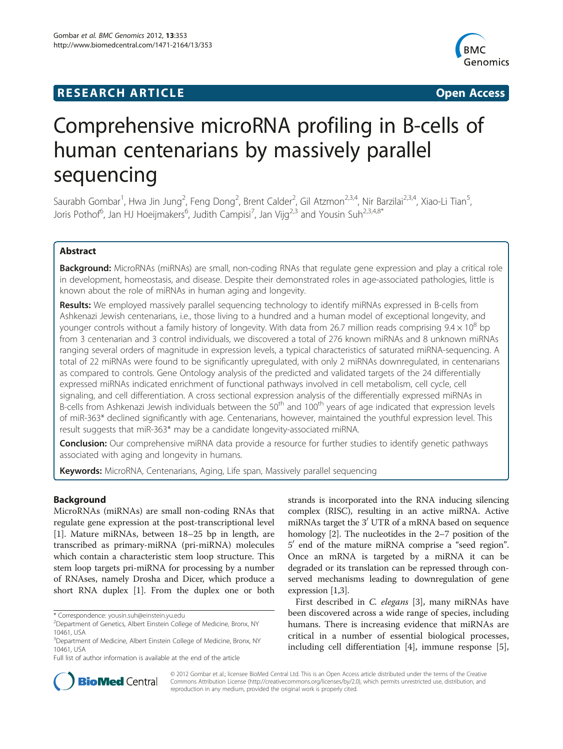# **RESEARCH ARTICLE Example 2014 CONSIDERING CONSIDERING CONSIDERING CONSIDERING CONSIDERING CONSIDERING CONSIDERING CONSIDERING CONSIDERING CONSIDERING CONSIDERING CONSIDERING CONSIDERING CONSIDERING CONSIDERING CONSIDE**



# Comprehensive microRNA profiling in B-cells of human centenarians by massively parallel sequencing

Saurabh Gombar<sup>1</sup>, Hwa Jin Jung<sup>2</sup>, Feng Dong<sup>2</sup>, Brent Calder<sup>2</sup>, Gil Atzmon<sup>2,3,4</sup>, Nir Barzilai<sup>2,3,4</sup>, Xiao-Li Tian<sup>5</sup> , Joris Pothof<sup>6</sup>, Jan HJ Hoeijmakers<sup>6</sup>, Judith Campisi<sup>7</sup>, Jan Vijg<sup>2,3</sup> and Yousin Suh<sup>2,3,4,8\*</sup>

# Abstract

Background: MicroRNAs (miRNAs) are small, non-coding RNAs that regulate gene expression and play a critical role in development, homeostasis, and disease. Despite their demonstrated roles in age-associated pathologies, little is known about the role of miRNAs in human aging and longevity.

Results: We employed massively parallel sequencing technology to identify miRNAs expressed in B-cells from Ashkenazi Jewish centenarians, i.e., those living to a hundred and a human model of exceptional longevity, and younger controls without a family history of longevity. With data from 26.7 million reads comprising  $9.4 \times 10^8$  bp from 3 centenarian and 3 control individuals, we discovered a total of 276 known miRNAs and 8 unknown miRNAs ranging several orders of magnitude in expression levels, a typical characteristics of saturated miRNA-sequencing. A total of 22 miRNAs were found to be significantly upregulated, with only 2 miRNAs downregulated, in centenarians as compared to controls. Gene Ontology analysis of the predicted and validated targets of the 24 differentially expressed miRNAs indicated enrichment of functional pathways involved in cell metabolism, cell cycle, cell signaling, and cell differentiation. A cross sectional expression analysis of the differentially expressed miRNAs in B-cells from Ashkenazi Jewish individuals between the 50<sup>th</sup> and 100<sup>th</sup> years of age indicated that expression levels of miR-363\* declined significantly with age. Centenarians, however, maintained the youthful expression level. This result suggests that miR-363\* may be a candidate longevity-associated miRNA.

**Conclusion:** Our comprehensive miRNA data provide a resource for further studies to identify genetic pathways associated with aging and longevity in humans.

Keywords: MicroRNA, Centenarians, Aging, Life span, Massively parallel sequencing

# Background

MicroRNAs (miRNAs) are small non-coding RNAs that regulate gene expression at the post-transcriptional level [[1\]](#page-10-0). Mature miRNAs, between 18–25 bp in length, are transcribed as primary-miRNA (pri-miRNA) molecules which contain a characteristic stem loop structure. This stem loop targets pri-miRNA for processing by a number of RNAses, namely Drosha and Dicer, which produce a short RNA duplex [\[1](#page-10-0)]. From the duplex one or both strands is incorporated into the RNA inducing silencing complex (RISC), resulting in an active miRNA. Active miRNAs target the 3' UTR of a mRNA based on sequence homology [\[2\]](#page-10-0). The nucleotides in the 2–7 position of the  $5'$  end of the mature miRNA comprise a "seed region". Once an mRNA is targeted by a miRNA it can be degraded or its translation can be repressed through conserved mechanisms leading to downregulation of gene expression [[1,3](#page-10-0)].

First described in C. elegans [[3\]](#page-10-0), many miRNAs have been discovered across a wide range of species, including humans. There is increasing evidence that miRNAs are critical in a number of essential biological processes, including cell differentiation [\[4](#page-10-0)], immune response [\[5](#page-10-0)],



© 2012 Gombar et al.; licensee BioMed Central Ltd. This is an Open Access article distributed under the terms of the Creative Commons Attribution License [\(http://creativecommons.org/licenses/by/2.0\)](http://creativecommons.org/licenses/by/2.0), which permits unrestricted use, distribution, and reproduction in any medium, provided the original work is properly cited.

<sup>\*</sup> Correspondence: [yousin.suh@einstein.yu.edu](mailto:yousin.suh@einstein.yu.edu) <sup>2</sup>

<sup>&</sup>lt;sup>2</sup>Department of Genetics, Albert Einstein College of Medicine, Bronx, NY 10461, USA

<sup>&</sup>lt;sup>3</sup>Department of Medicine, Albert Einstein College of Medicine, Bronx, NY 10461, USA

Full list of author information is available at the end of the article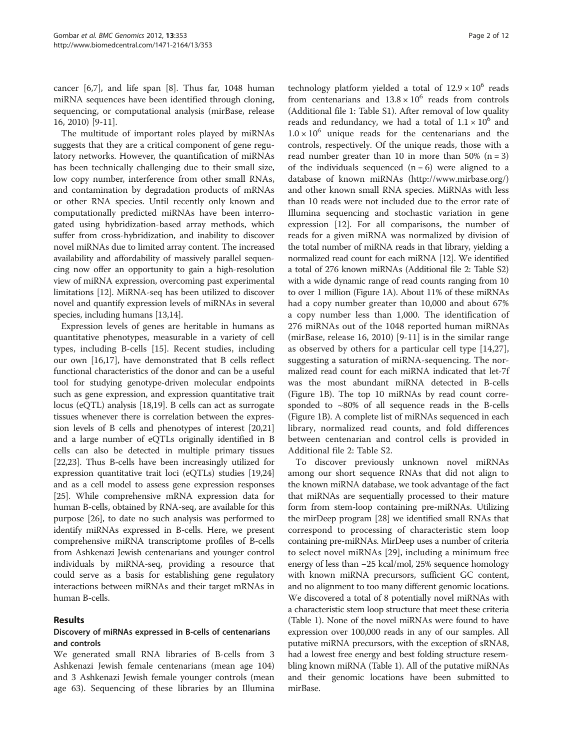cancer [[6,7\]](#page-10-0), and life span [[8](#page-10-0)]. Thus far, 1048 human miRNA sequences have been identified through cloning, sequencing, or computational analysis (mirBase, release 16, 2010) [[9](#page-10-0)-[11\]](#page-10-0).

The multitude of important roles played by miRNAs suggests that they are a critical component of gene regulatory networks. However, the quantification of miRNAs has been technically challenging due to their small size, low copy number, interference from other small RNAs, and contamination by degradation products of mRNAs or other RNA species. Until recently only known and computationally predicted miRNAs have been interrogated using hybridization-based array methods, which suffer from cross-hybridization, and inability to discover novel miRNAs due to limited array content. The increased availability and affordability of massively parallel sequencing now offer an opportunity to gain a high-resolution view of miRNA expression, overcoming past experimental limitations [\[12](#page-10-0)]. MiRNA-seq has been utilized to discover novel and quantify expression levels of miRNAs in several species, including humans [\[13,14\]](#page-10-0).

Expression levels of genes are heritable in humans as quantitative phenotypes, measurable in a variety of cell types, including B-cells [[15](#page-10-0)]. Recent studies, including our own [\[16,17](#page-10-0)], have demonstrated that B cells reflect functional characteristics of the donor and can be a useful tool for studying genotype-driven molecular endpoints such as gene expression, and expression quantitative trait locus (eQTL) analysis [[18,19\]](#page-10-0). B cells can act as surrogate tissues whenever there is correlation between the expression levels of B cells and phenotypes of interest [\[20,21](#page-10-0)] and a large number of eQTLs originally identified in B cells can also be detected in multiple primary tissues [[22,23](#page-10-0)]. Thus B-cells have been increasingly utilized for expression quantitative trait loci (eQTLs) studies [\[19,24](#page-10-0)] and as a cell model to assess gene expression responses [[25](#page-10-0)]. While comprehensive mRNA expression data for human B-cells, obtained by RNA-seq, are available for this purpose [[26](#page-11-0)], to date no such analysis was performed to identify miRNAs expressed in B-cells. Here, we present comprehensive miRNA transcriptome profiles of B-cells from Ashkenazi Jewish centenarians and younger control individuals by miRNA-seq, providing a resource that could serve as a basis for establishing gene regulatory interactions between miRNAs and their target mRNAs in human B-cells.

#### Results

# Discovery of miRNAs expressed in B-cells of centenarians and controls

We generated small RNA libraries of B-cells from 3 Ashkenazi Jewish female centenarians (mean age 104) and 3 Ashkenazi Jewish female younger controls (mean age 63). Sequencing of these libraries by an Illumina

technology platform yielded a total of  $12.9 \times 10^6$  reads from centenarians and  $13.8 \times 10^6$  reads from controls (Additional file [1](#page-10-0): Table S1). After removal of low quality reads and redundancy, we had a total of  $1.1 \times 10^6$  and  $1.0 \times 10^6$  unique reads for the centenarians and the controls, respectively. Of the unique reads, those with a read number greater than 10 in more than 50%  $(n = 3)$ of the individuals sequenced  $(n = 6)$  were aligned to a database of known miRNAs [\(http://www.mirbase.org/](http://www.mirbase.org/)) and other known small RNA species. MiRNAs with less than 10 reads were not included due to the error rate of Illumina sequencing and stochastic variation in gene expression [\[12\]](#page-10-0). For all comparisons, the number of reads for a given miRNA was normalized by division of the total number of miRNA reads in that library, yielding a normalized read count for each miRNA [[12](#page-10-0)]. We identified a total of 276 known miRNAs (Additional file [2](#page-10-0): Table S2) with a wide dynamic range of read counts ranging from 10 to over 1 million (Figure [1](#page-2-0)A). About 11% of these miRNAs had a copy number greater than 10,000 and about 67% a copy number less than 1,000. The identification of 276 miRNAs out of the 1048 reported human miRNAs (mirBase, release 16, 2010) [[9-11](#page-10-0)] is in the similar range as observed by others for a particular cell type [[14](#page-10-0)[,27](#page-11-0)], suggesting a saturation of miRNA-sequencing. The normalized read count for each miRNA indicated that let-7f was the most abundant miRNA detected in B-cells (Figure [1B](#page-2-0)). The top 10 miRNAs by read count corresponded to  $~80\%$  of all sequence reads in the B-cells (Figure [1B](#page-2-0)). A complete list of miRNAs sequenced in each library, normalized read counts, and fold differences between centenarian and control cells is provided in Additional file [2](#page-10-0): Table S2.

To discover previously unknown novel miRNAs among our short sequence RNAs that did not align to the known miRNA database, we took advantage of the fact that miRNAs are sequentially processed to their mature form from stem-loop containing pre-miRNAs. Utilizing the mirDeep program [[28](#page-11-0)] we identified small RNAs that correspond to processing of characteristic stem loop containing pre-miRNAs. MirDeep uses a number of criteria to select novel miRNAs [\[29](#page-11-0)], including a minimum free energy of less than −25 kcal/mol, 25% sequence homology with known miRNA precursors, sufficient GC content, and no alignment to too many different genomic locations. We discovered a total of 8 potentially novel miRNAs with a characteristic stem loop structure that meet these criteria (Table [1](#page-3-0)). None of the novel miRNAs were found to have expression over 100,000 reads in any of our samples. All putative miRNA precursors, with the exception of sRNA8, had a lowest free energy and best folding structure resembling known miRNA (Table [1](#page-3-0)). All of the putative miRNAs and their genomic locations have been submitted to mirBase.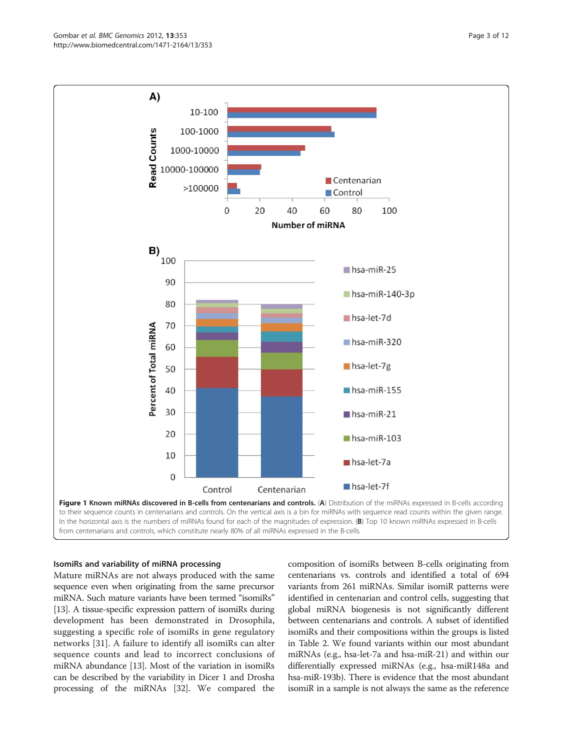<span id="page-2-0"></span>

to their sequence counts in centenarians and controls. On the vertical axis is a bin for miRNAs with sequence read counts within the given range. In the horizontal axis is the numbers of miRNAs found for each of the magnitudes of expression. (B) Top 10 known miRNAs expressed in B-cells from centenarians and controls, which constitute nearly 80% of all miRNAs expressed in the B-cells.

#### IsomiRs and variability of miRNA processing

Mature miRNAs are not always produced with the same sequence even when originating from the same precursor miRNA. Such mature variants have been termed "isomiRs" [[13](#page-10-0)]. A tissue-specific expression pattern of isomiRs during development has been demonstrated in Drosophila, suggesting a specific role of isomiRs in gene regulatory networks [\[31](#page-11-0)]. A failure to identify all isomiRs can alter sequence counts and lead to incorrect conclusions of miRNA abundance [\[13](#page-10-0)]. Most of the variation in isomiRs can be described by the variability in Dicer 1 and Drosha processing of the miRNAs [[32](#page-11-0)]. We compared the

composition of isomiRs between B-cells originating from centenarians vs. controls and identified a total of 694 variants from 261 miRNAs. Similar isomiR patterns were identified in centenarian and control cells, suggesting that global miRNA biogenesis is not significantly different between centenarians and controls. A subset of identified isomiRs and their compositions within the groups is listed in Table [2](#page-4-0). We found variants within our most abundant miRNAs (e.g., hsa-let-7a and hsa-miR-21) and within our differentially expressed miRNAs (e.g., hsa-miR148a and hsa-miR-193b). There is evidence that the most abundant isomiR in a sample is not always the same as the reference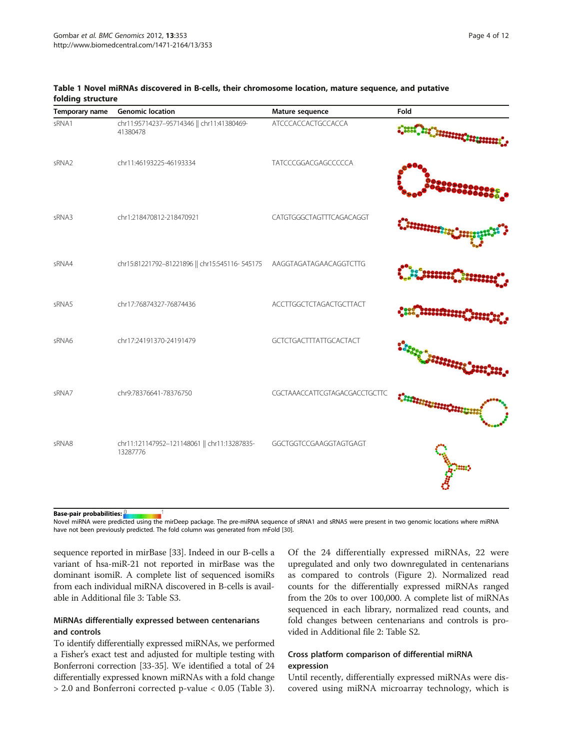| Temporary name    | <b>Genomic location</b>                                               | Mature sequence                | Fold    |
|-------------------|-----------------------------------------------------------------------|--------------------------------|---------|
| sRNA1             | chr11:95714237-95714346   chr11:41380469-<br>41380478                 | ATCCCACCACTGCCACCA             |         |
| sRNA <sub>2</sub> | chr11:46193225-46193334                                               | TATCCCGGACGAGCCCCCA            |         |
| sRNA3             | chr1:218470812-218470921                                              | CATGTGGGCTAGTTTCAGACAGGT       | 0000002 |
| sRNA4             | chr15:81221792-81221896    chr15:545116-545175 AAGGTAGATAGAACAGGTCTTG |                                |         |
| sRNA5             | chr17:76874327-76874436                                               | <b>ACCTTGGCTCTAGACTGCTTACT</b> |         |
| sRNA6             | chr17:24191370-24191479                                               | <b>GCTCTGACTTTATTGCACTACT</b>  |         |
| sRNA7             | chr9:78376641-78376750                                                | CGCTAAACCATTCGTAGACGACCTGCTTC  |         |
| sRNA8             | chr11:121147952-121148061    chr11:13287835-<br>13287776              | GGCTGGTCCGAAGGTAGTGAGT         |         |

<span id="page-3-0"></span>Table 1 Novel miRNAs discovered in B-cells, their chromosome location, mature sequence, and putative folding structure

Base-pair probabilities:

Novel miRNA were predicted using the mirDeep package. The pre-miRNA sequence of sRNA1 and sRNA5 were present in two genomic locations where miRNA have not been previously predicted. The fold column was generated from mFold [\[30](#page-11-0)].

sequence reported in mirBase [[33\]](#page-11-0). Indeed in our B-cells a variant of hsa-miR-21 not reported in mirBase was the dominant isomiR. A complete list of sequenced isomiRs from each individual miRNA discovered in B-cells is available in Additional file [3](#page-10-0): Table S3.

# MiRNAs differentially expressed between centenarians and controls

To identify differentially expressed miRNAs, we performed a Fisher's exact test and adjusted for multiple testing with Bonferroni correction [[33](#page-11-0)-[35](#page-11-0)]. We identified a total of 24 differentially expressed known miRNAs with a fold change > 2.0 and Bonferroni corrected p-value < 0.05 (Table [3](#page-5-0)). Of the 24 differentially expressed miRNAs, 22 were upregulated and only two downregulated in centenarians as compared to controls (Figure [2\)](#page-6-0). Normalized read counts for the differentially expressed miRNAs ranged from the 20s to over 100,000. A complete list of miRNAs sequenced in each library, normalized read counts, and fold changes between centenarians and controls is provided in Additional file [2:](#page-10-0) Table S2.

# Cross platform comparison of differential miRNA expression

Until recently, differentially expressed miRNAs were discovered using miRNA microarray technology, which is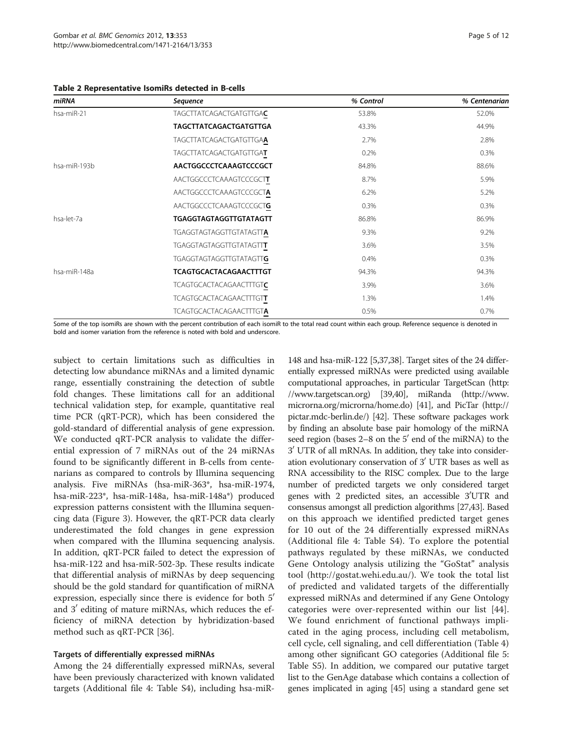<span id="page-4-0"></span>Table 2 Representative IsomiRs detected in B-cells

| miRNA        | Sequence                       | % Control | % Centenarian |
|--------------|--------------------------------|-----------|---------------|
| hsa-miR-21   | TAGCTTATCAGACTGATGTTGAC        | 53.8%     | 52.0%         |
|              | <b>TAGCTTATCAGACTGATGTTGA</b>  | 43.3%     | 44.9%         |
|              | TAGCTTATCAGACTGATGTTGAA        | 2.7%      | 2.8%          |
|              | TAGCTTATCAGACTGATGTTGAT        | 0.2%      | 0.3%          |
| hsa-miR-193b | AACTGGCCCTCAAAGTCCCGCT         | 84.8%     | 88.6%         |
|              | AACTGGCCCTCAAAGTCCCGCTT        | 8.7%      | 5.9%          |
|              | AACTGGCCCTCAAAGTCCCGCTA        | 6.2%      | 5.2%          |
|              | AACTGGCCCTCAAAGTCCCGCTG        | $0.3\%$   | 0.3%          |
| hsa-let-7a   | <b>TGAGGTAGTAGGTTGTATAGTT</b>  | 86.8%     | 86.9%         |
|              | TGAGGTAGTAGGTTGTATAGTTA        | 9.3%      | 9.2%          |
|              | <b>TGAGGTAGTAGGTTGTATAGTTT</b> | 3.6%      | 3.5%          |
|              | TGAGGTAGTAGGTTGTATAGTTG        | 0.4%      | 0.3%          |
| hsa-miR-148a | <b>TCAGTGCACTACAGAACTTTGT</b>  | 94.3%     | 94.3%         |
|              | TCAGTGCACTACAGAACTTTGTC        | 3.9%      | 3.6%          |
|              | <b>TCAGTGCACTACAGAACTTTGTT</b> | 1.3%      | 1.4%          |
|              | <b>TCAGTGCACTACAGAACTTTGTA</b> | 0.5%      | 0.7%          |

Some of the top isomiRs are shown with the percent contribution of each isomiR to the total read count within each group. Reference sequence is denoted in bold and isomer variation from the reference is noted with bold and underscore.

subject to certain limitations such as difficulties in detecting low abundance miRNAs and a limited dynamic range, essentially constraining the detection of subtle fold changes. These limitations call for an additional technical validation step, for example, quantitative real time PCR (qRT-PCR), which has been considered the gold-standard of differential analysis of gene expression. We conducted qRT-PCR analysis to validate the differential expression of 7 miRNAs out of the 24 miRNAs found to be significantly different in B-cells from centenarians as compared to controls by Illumina sequencing analysis. Five miRNAs (hsa-miR-363\*, hsa-miR-1974, hsa-miR-223\*, hsa-miR-148a, hsa-miR-148a\*) produced expression patterns consistent with the Illumina sequencing data (Figure [3\)](#page-6-0). However, the qRT-PCR data clearly underestimated the fold changes in gene expression when compared with the Illumina sequencing analysis. In addition, qRT-PCR failed to detect the expression of hsa-miR-122 and hsa-miR-502-3p. These results indicate that differential analysis of miRNAs by deep sequencing should be the gold standard for quantification of miRNA expression, especially since there is evidence for both 5<sup>'</sup> and  $3'$  editing of mature miRNAs, which reduces the efficiency of miRNA detection by hybridization-based method such as qRT-PCR [\[36\]](#page-11-0).

#### Targets of differentially expressed miRNAs

Among the 24 differentially expressed miRNAs, several have been previously characterized with known validated targets (Additional file [4:](#page-10-0) Table S4), including hsa-miR-

148 and hsa-miR-122 [[5](#page-10-0)[,37,38](#page-11-0)]. Target sites of the 24 differentially expressed miRNAs were predicted using available computational approaches, in particular TargetScan [\(http:](http://www.targetscan.org) [//www.targetscan.org\)](http://www.targetscan.org) [[39,40\]](#page-11-0), miRanda [\(http://www.](http://www.microrna.org/microrna/home.do) [microrna.org/microrna/home.do\)](http://www.microrna.org/microrna/home.do) [[41](#page-11-0)], and PicTar [\(http://](http://pictar.mdc-berlin.de/) [pictar.mdc-berlin.de/](http://pictar.mdc-berlin.de/)) [\[42\]](#page-11-0). These software packages work by finding an absolute base pair homology of the miRNA seed region (bases  $2-8$  on the  $5'$  end of the miRNA) to the 3' UTR of all mRNAs. In addition, they take into consideration evolutionary conservation of  $3'$  UTR bases as well as RNA accessibility to the RISC complex. Due to the large number of predicted targets we only considered target genes with 2 predicted sites, an accessible 3'UTR and consensus amongst all prediction algorithms [[27,43\]](#page-11-0). Based on this approach we identified predicted target genes for 10 out of the 24 differentially expressed miRNAs (Additional file [4:](#page-10-0) Table S4). To explore the potential pathways regulated by these miRNAs, we conducted Gene Ontology analysis utilizing the "GoStat" analysis tool [\(http://gostat.wehi.edu.au/](http://gostat.wehi.edu.au/)). We took the total list of predicted and validated targets of the differentially expressed miRNAs and determined if any Gene Ontology categories were over-represented within our list [\[44](#page-11-0)]. We found enrichment of functional pathways implicated in the aging process, including cell metabolism, cell cycle, cell signaling, and cell differentiation (Table [4](#page-7-0)) among other significant GO categories (Additional file [5](#page-10-0): Table S5). In addition, we compared our putative target list to the GenAge database which contains a collection of genes implicated in aging [\[45](#page-11-0)] using a standard gene set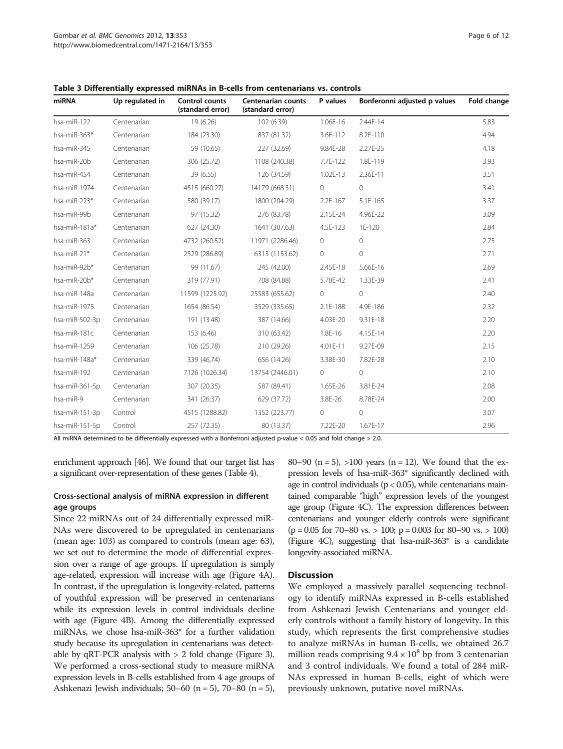| miRNA          | Up regulated in | Control counts<br>(standard error) | <b>Centenarian counts</b><br>(standard error) | P values   | Bonferonni adjusted p values | Fold change |
|----------------|-----------------|------------------------------------|-----------------------------------------------|------------|------------------------------|-------------|
| hsa-miR-122    | Centenarian     | 19 (6.26)                          | 102 (6.39)                                    | 1.06E-16   | 2.44E-14                     | 5.83        |
| hsa-miR-363*   | Centenarian     | 184 (23.30)                        | 837 (81.32)                                   | 3.6E-112   | 8.2E-110                     | 4.94        |
| hsa-miR-345    | Centenarian     | 59 (10.65)                         | 227 (32.69)                                   | 9.84E-28   | 2.27E-25                     | 4.18        |
| hsa-miR-20b    | Centenarian     | 306 (25.72)                        | 1108 (240.38)                                 | 7.7E-122   | 1.8E-119                     | 3.93        |
| hsa-miR-454    | Centenarian     | 39 (6.55)                          | 126 (34.59)                                   | 1.02E-13   | 2.36E-11                     | 3.51        |
| hsa-miR-1974   | Centenarian     | 4515 (660.27)                      | 14179 (668.31)                                | $\circ$    | $\circ$                      | 3.41        |
| hsa-miR-223*   | Centenarian     | 580 (39.17)                        | 1800 (204.29)                                 | $2.2E-167$ | 5.1E-165                     | 3.37        |
| hsa-miR-99b    | Centenarian     | 97 (15.32)                         | 276 (83.78)                                   | 2.15E-24   | 4.96E-22                     | 3.09        |
| hsa-miR-181a*  | Centenarian     | 627 (24.30)                        | 1641 (307.63)                                 | 4.5E-123   | 1E-120                       | 2.84        |
| hsa-miR-363    | Centenarian     | 4732 (260.52)                      | 11971 (2286.46)                               | $\circ$    | $\Omega$                     | 2.75        |
| hsa-miR-21*    | Centenarian     | 2529 (286.89)                      | 6313 (1153.62)                                | $\circ$    | $\circ$                      | 2.71        |
| hsa-miR-92b*   | Centenarian     | 99 (11.67)                         | 245 (42.00)                                   | 2.45E-18   | 5.66E-16                     | 2.69        |
| hsa-miR-20b*   | Centenarian     | 319 (77.91)                        | 708 (84.88)                                   | 5.78E-42   | 1.33E-39                     | 2.41        |
| hsa-miR-148a   | Centenarian     | 11599 (1225.92)                    | 25583 (655.62)                                | $\circ$    | $\circ$                      | 2.40        |
| hsa-miR-1975   | Centenarian     | 1654 (86.54)                       | 3529 (335.65)                                 | 2.1E-188   | 4.9E-186                     | 2.32        |
| hsa-miR-502-3p | Centenarian     | 191 (13.48)                        | 387 (14.66)                                   | 4.03E-20   | 9.31E-18                     | 2.20        |
| hsa-miR-181c   | Centenarian     | 153 (6.46)                         | 310 (63.42)                                   | 1.8E-16    | 4.15E-14                     | 2.20        |
| hsa-miR-1259   | Centenarian     | 106 (25.78)                        | 210 (29.26)                                   | 4.01E-11   | 9.27E-09                     | 2.15        |
| hsa-miR-148a*  | Centenarian     | 339 (46.74)                        | 656 (14.26)                                   | 3.38E-30   | 7.82E-28                     | 2.10        |
| hsa-miR-192    | Centenarian     | 7126 (1026.34)                     | 13754 (2446.01)                               | 0          | $\circ$                      | 2.10        |
| hsa-miR-361-5p | Centenarian     | 307 (20.35)                        | 587 (89.41)                                   | 1.65E-26   | 3.81E-24                     | 2.08        |
| hsa-miR-9      | Centenarian     | 341 (26.37)                        | 629 (37.72)                                   | 3.8E-26    | 8.78E-24                     | 2.00        |
| hsa-miR-151-3p | Control         | 4515 (1288.82)                     | 1352 (223.77)                                 | $\circ$    | $\circ$                      | 3.07        |
| hsa-miR-151-5p | Control         | 257 (72.35)                        | 80 (13.37)                                    | 7.22E-20   | 1.67E-17                     | 2.96        |

<span id="page-5-0"></span>Table 3 Differentially expressed miRNAs in B-cells from centenarians vs. controls

All miRNA determined to be differentially expressed with a Bonferroni adjusted p-value < 0.05 and fold change > 2.0.

enrichment approach [\[46](#page-11-0)]. We found that our target list has a significant over-representation of these genes (Table [4](#page-7-0)).

#### Cross-sectional analysis of miRNA expression in different age groups

Since 22 miRNAs out of 24 differentially expressed miR-NAs were discovered to be upregulated in centenarians (mean age: 103) as compared to controls (mean age: 63), we set out to determine the mode of differential expression over a range of age groups. If upregulation is simply age-related, expression will increase with age (Figure [4A](#page-7-0)). In contrast, if the upregulation is longevity-related, patterns of youthful expression will be preserved in centenarians while its expression levels in control individuals decline with age (Figure [4B](#page-7-0)). Among the differentially expressed miRNAs, we chose hsa-miR-363\* for a further validation study because its upregulation in centenarians was detectable by  $qRT-PCR$  analysis with  $> 2$  fold change (Figure [3](#page-6-0)). We performed a cross-sectional study to measure miRNA expression levels in B-cells established from 4 age groups of Ashkenazi Jewish individuals; 50–60 (n = 5), 70–80 (n = 5),

80–90 (n = 5), >100 years (n = 12). We found that the expression levels of hsa-miR-363\* significantly declined with age in control individuals ( $p < 0.05$ ), while centenarians maintained comparable "high" expression levels of the youngest age group (Figure [4](#page-7-0)C). The expression differences between centenarians and younger elderly controls were significant  $(p = 0.05$  for 70–80 vs. > 100;  $p = 0.003$  for 80–90 vs. > 100) (Figure [4C](#page-7-0)), suggesting that hsa-miR-363\* is a candidate longevity-associated miRNA.

#### **Discussion**

We employed a massively parallel sequencing technology to identify miRNAs expressed in B-cells established from Ashkenazi Jewish Centenarians and younger elderly controls without a family history of longevity. In this study, which represents the first comprehensive studies to analyze miRNAs in human B-cells, we obtained 26.7 million reads comprising  $9.4 \times 10^8$  bp from 3 centenarian and 3 control individuals. We found a total of 284 miR-NAs expressed in human B-cells, eight of which were previously unknown, putative novel miRNAs.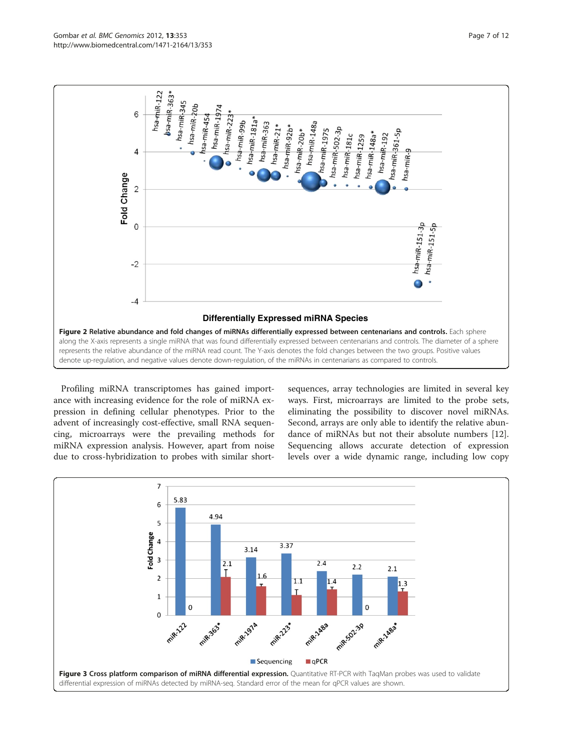<span id="page-6-0"></span>

Profiling miRNA transcriptomes has gained importance with increasing evidence for the role of miRNA expression in defining cellular phenotypes. Prior to the advent of increasingly cost-effective, small RNA sequencing, microarrays were the prevailing methods for miRNA expression analysis. However, apart from noise due to cross-hybridization to probes with similar short-

sequences, array technologies are limited in several key ways. First, microarrays are limited to the probe sets, eliminating the possibility to discover novel miRNAs. Second, arrays are only able to identify the relative abundance of miRNAs but not their absolute numbers [\[12](#page-10-0)]. Sequencing allows accurate detection of expression levels over a wide dynamic range, including low copy

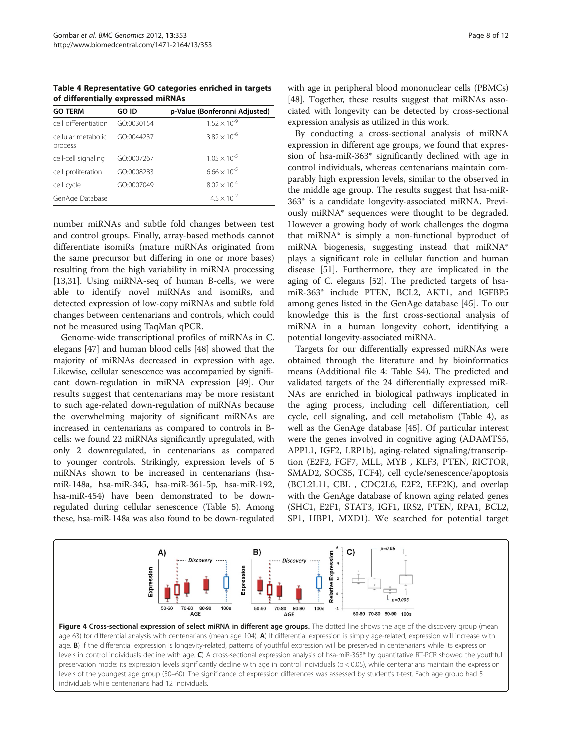<span id="page-7-0"></span>Table 4 Representative GO categories enriched in targets of differentially expressed miRNAs

| <b>GO TERM</b>                | GO ID      | p-Value (Bonferonni Adjusted) |
|-------------------------------|------------|-------------------------------|
| cell differentiation          | GO:0030154 | $1.52 \times 10^{-9}$         |
| cellular metabolic<br>process | GO:0044237 | $3.82 \times 10^{-6}$         |
| cell-cell signaling           | GO:0007267 | $1.05 \times 10^{-5}$         |
| cell proliferation            | GO:0008283 | $6.66 \times 10^{-5}$         |
| cell cycle                    | GO:0007049 | $8.02 \times 10^{-4}$         |
| GenAge Database               |            | $4.5 \times 10^{-2}$          |

number miRNAs and subtle fold changes between test and control groups. Finally, array-based methods cannot differentiate isomiRs (mature miRNAs originated from the same precursor but differing in one or more bases) resulting from the high variability in miRNA processing [[13,](#page-10-0)[31\]](#page-11-0). Using miRNA-seq of human B-cells, we were able to identify novel miRNAs and isomiRs, and detected expression of low-copy miRNAs and subtle fold changes between centenarians and controls, which could not be measured using TaqMan qPCR.

Genome-wide transcriptional profiles of miRNAs in C. elegans [[47](#page-11-0)] and human blood cells [[48](#page-11-0)] showed that the majority of miRNAs decreased in expression with age. Likewise, cellular senescence was accompanied by significant down-regulation in miRNA expression [\[49\]](#page-11-0). Our results suggest that centenarians may be more resistant to such age-related down-regulation of miRNAs because the overwhelming majority of significant miRNAs are increased in centenarians as compared to controls in Bcells: we found 22 miRNAs significantly upregulated, with only 2 downregulated, in centenarians as compared to younger controls. Strikingly, expression levels of 5 miRNAs shown to be increased in centenarians (hsamiR-148a, hsa-miR-345, hsa-miR-361-5p, hsa-miR-192, hsa-miR-454) have been demonstrated to be downregulated during cellular senescence (Table [5](#page-8-0)). Among these, hsa-miR-148a was also found to be down-regulated

with age in peripheral blood mononuclear cells (PBMCs) [[48](#page-11-0)]. Together, these results suggest that miRNAs associated with longevity can be detected by cross-sectional expression analysis as utilized in this work.

By conducting a cross-sectional analysis of miRNA expression in different age groups, we found that expression of hsa-miR-363\* significantly declined with age in control individuals, whereas centenarians maintain comparably high expression levels, similar to the observed in the middle age group. The results suggest that hsa-miR-363\* is a candidate longevity-associated miRNA. Previously miRNA\* sequences were thought to be degraded. However a growing body of work challenges the dogma that miRNA\* is simply a non-functional byproduct of miRNA biogenesis, suggesting instead that miRNA\* plays a significant role in cellular function and human disease [\[51\]](#page-11-0). Furthermore, they are implicated in the aging of C. elegans [\[52\]](#page-11-0). The predicted targets of hsamiR-363\* include PTEN, BCL2, AKT1, and IGFBP5 among genes listed in the GenAge database [\[45](#page-11-0)]. To our knowledge this is the first cross-sectional analysis of miRNA in a human longevity cohort, identifying a potential longevity-associated miRNA.

Targets for our differentially expressed miRNAs were obtained through the literature and by bioinformatics means (Additional file [4:](#page-10-0) Table S4). The predicted and validated targets of the 24 differentially expressed miR-NAs are enriched in biological pathways implicated in the aging process, including cell differentiation, cell cycle, cell signaling, and cell metabolism (Table 4), as well as the GenAge database [[45\]](#page-11-0). Of particular interest were the genes involved in cognitive aging (ADAMTS5, APPL1, IGF2, LRP1b), aging-related signaling/transcription (E2F2, FGF7, MLL, MYB , KLF3, PTEN, RICTOR, SMAD2, SOCS5, TCF4), cell cycle/senescence/apoptosis (BCL2L11, CBL , CDC2L6, E2F2, EEF2K), and overlap with the GenAge database of known aging related genes (SHC1, E2F1, STAT3, IGF1, IRS2, PTEN, RPA1, BCL2, SP1, HBP1, MXD1). We searched for potential target



Figure 4 Cross-sectional expression of select miRNA in different age groups. The dotted line shows the age of the discovery group (mean age 63) for differential analysis with centenarians (mean age 104). A) If differential expression is simply age-related, expression will increase with age. B) If the differential expression is longevity-related, patterns of youthful expression will be preserved in centenarians while its expression levels in control individuals decline with age. C) A cross-sectional expression analysis of hsa-miR-363\* by quantitative RT-PCR showed the youthful preservation mode: its expression levels significantly decline with age in control individuals (p < 0.05), while centenarians maintain the expression levels of the youngest age group (50–60). The significance of expression differences was assessed by student's t-test. Each age group had 5 individuals while centenarians had 12 individuals.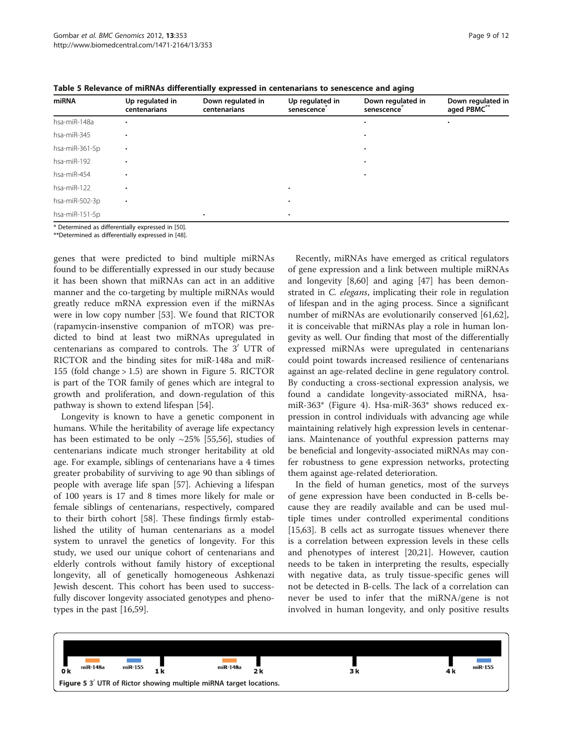| Up regulated in<br>centenarians | Down regulated in<br>centenarians | Up regulated in<br>senescence | Down regulated in<br>senescence | Down regulated in<br>aged PBMC** |  |
|---------------------------------|-----------------------------------|-------------------------------|---------------------------------|----------------------------------|--|
|                                 |                                   |                               |                                 |                                  |  |
|                                 |                                   |                               |                                 |                                  |  |
| $\bullet$                       |                                   |                               | $\bullet$                       |                                  |  |
|                                 |                                   |                               | ٠                               |                                  |  |
|                                 |                                   |                               |                                 |                                  |  |
|                                 |                                   |                               |                                 |                                  |  |
| $\bullet$                       |                                   | ٠                             |                                 |                                  |  |
|                                 | ٠                                 | ٠                             |                                 |                                  |  |
|                                 |                                   |                               |                                 |                                  |  |

<span id="page-8-0"></span>Table 5 Relevance of miRNAs differentially expressed in centenarians to senescence and aging

\* Determined as differentially expressed in [[50\]](#page-11-0).

\*\*Determined as differentially expressed in [\[48\]](#page-11-0).

genes that were predicted to bind multiple miRNAs found to be differentially expressed in our study because it has been shown that miRNAs can act in an additive manner and the co-targeting by multiple miRNAs would greatly reduce mRNA expression even if the miRNAs were in low copy number [[53](#page-11-0)]. We found that RICTOR (rapamycin-insenstive companion of mTOR) was predicted to bind at least two miRNAs upregulated in centenarians as compared to controls. The 3' UTR of RICTOR and the binding sites for miR-148a and miR-155 (fold change > 1.5) are shown in Figure 5. RICTOR is part of the TOR family of genes which are integral to growth and proliferation, and down-regulation of this pathway is shown to extend lifespan [[54\]](#page-11-0).

Longevity is known to have a genetic component in humans. While the heritability of average life expectancy has been estimated to be only ~25% [\[55,56\]](#page-11-0), studies of centenarians indicate much stronger heritability at old age. For example, siblings of centenarians have a 4 times greater probability of surviving to age 90 than siblings of people with average life span [[57\]](#page-11-0). Achieving a lifespan of 100 years is 17 and 8 times more likely for male or female siblings of centenarians, respectively, compared to their birth cohort [[58\]](#page-11-0). These findings firmly established the utility of human centenarians as a model system to unravel the genetics of longevity. For this study, we used our unique cohort of centenarians and elderly controls without family history of exceptional longevity, all of genetically homogeneous Ashkenazi Jewish descent. This cohort has been used to successfully discover longevity associated genotypes and phenotypes in the past [\[16,](#page-10-0)[59\]](#page-11-0).

Recently, miRNAs have emerged as critical regulators of gene expression and a link between multiple miRNAs and longevity [\[8](#page-10-0)[,60\]](#page-11-0) and aging [\[47](#page-11-0)] has been demonstrated in C. elegans, implicating their role in regulation of lifespan and in the aging process. Since a significant number of miRNAs are evolutionarily conserved [\[61,62](#page-11-0)], it is conceivable that miRNAs play a role in human longevity as well. Our finding that most of the differentially expressed miRNAs were upregulated in centenarians could point towards increased resilience of centenarians against an age-related decline in gene regulatory control. By conducting a cross-sectional expression analysis, we found a candidate longevity-associated miRNA, hsamiR-363\* (Figure [4](#page-7-0)). Hsa-miR-363\* shows reduced expression in control individuals with advancing age while maintaining relatively high expression levels in centenarians. Maintenance of youthful expression patterns may be beneficial and longevity-associated miRNAs may confer robustness to gene expression networks, protecting them against age-related deterioration.

In the field of human genetics, most of the surveys of gene expression have been conducted in B-cells because they are readily available and can be used multiple times under controlled experimental conditions [[15,](#page-10-0)[63\]](#page-11-0). B cells act as surrogate tissues whenever there is a correlation between expression levels in these cells and phenotypes of interest [\[20,21](#page-10-0)]. However, caution needs to be taken in interpreting the results, especially with negative data, as truly tissue-specific genes will not be detected in B-cells. The lack of a correlation can never be used to infer that the miRNA/gene is not involved in human longevity, and only positive results

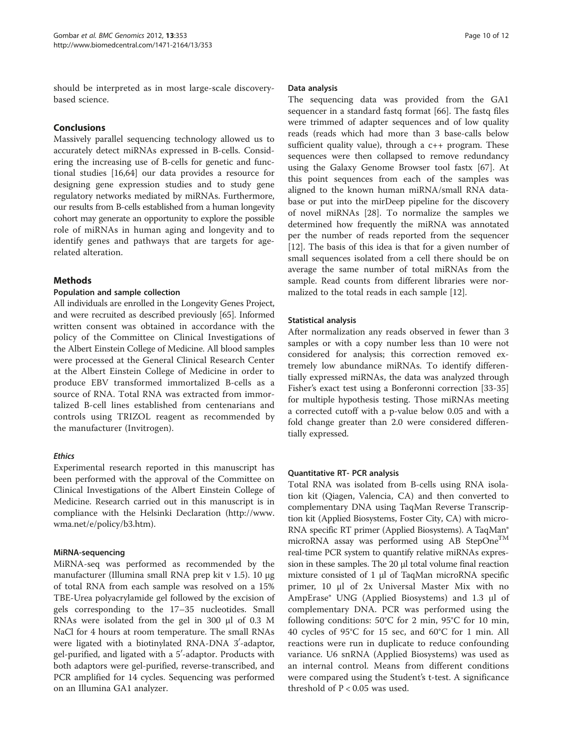should be interpreted as in most large-scale discoverybased science.

# Conclusions

Massively parallel sequencing technology allowed us to accurately detect miRNAs expressed in B-cells. Considering the increasing use of B-cells for genetic and functional studies [[16,](#page-10-0)[64\]](#page-11-0) our data provides a resource for designing gene expression studies and to study gene regulatory networks mediated by miRNAs. Furthermore, our results from B-cells established from a human longevity cohort may generate an opportunity to explore the possible role of miRNAs in human aging and longevity and to identify genes and pathways that are targets for agerelated alteration.

# **Methods**

#### Population and sample collection

All individuals are enrolled in the Longevity Genes Project, and were recruited as described previously [\[65\]](#page-11-0). Informed written consent was obtained in accordance with the policy of the Committee on Clinical Investigations of the Albert Einstein College of Medicine. All blood samples were processed at the General Clinical Research Center at the Albert Einstein College of Medicine in order to produce EBV transformed immortalized B-cells as a source of RNA. Total RNA was extracted from immortalized B-cell lines established from centenarians and controls using TRIZOL reagent as recommended by the manufacturer (Invitrogen).

#### Ethics

Experimental research reported in this manuscript has been performed with the approval of the Committee on Clinical Investigations of the Albert Einstein College of Medicine. Research carried out in this manuscript is in compliance with the Helsinki Declaration ([http://www.](http://www.wma.net/e/policy/b3.htm) [wma.net/e/policy/b3.htm](http://www.wma.net/e/policy/b3.htm)).

#### MiRNA-sequencing

MiRNA-seq was performed as recommended by the manufacturer (Illumina small RNA prep kit v 1.5). 10 μg of total RNA from each sample was resolved on a 15% TBE-Urea polyacrylamide gel followed by the excision of gels corresponding to the 17–35 nucleotides. Small RNAs were isolated from the gel in 300 μl of 0.3 M NaCl for 4 hours at room temperature. The small RNAs were ligated with a biotinylated RNA-DNA 3'-adaptor, gel-purified, and ligated with a 5′-adaptor. Products with both adaptors were gel-purified, reverse-transcribed, and PCR amplified for 14 cycles. Sequencing was performed on an Illumina GA1 analyzer.

#### Data analysis

The sequencing data was provided from the GA1 sequencer in a standard fastq format [\[66](#page-11-0)]. The fastq files were trimmed of adapter sequences and of low quality reads (reads which had more than 3 base-calls below sufficient quality value), through a c++ program. These sequences were then collapsed to remove redundancy using the Galaxy Genome Browser tool fastx [\[67](#page-11-0)]. At this point sequences from each of the samples was aligned to the known human miRNA/small RNA database or put into the mirDeep pipeline for the discovery of novel miRNAs [[28](#page-11-0)]. To normalize the samples we determined how frequently the miRNA was annotated per the number of reads reported from the sequencer [[12\]](#page-10-0). The basis of this idea is that for a given number of small sequences isolated from a cell there should be on average the same number of total miRNAs from the sample. Read counts from different libraries were normalized to the total reads in each sample [\[12\]](#page-10-0).

#### Statistical analysis

After normalization any reads observed in fewer than 3 samples or with a copy number less than 10 were not considered for analysis; this correction removed extremely low abundance miRNAs. To identify differentially expressed miRNAs, the data was analyzed through Fisher's exact test using a Bonferonni correction [\[33](#page-11-0)-[35](#page-11-0)] for multiple hypothesis testing. Those miRNAs meeting a corrected cutoff with a p-value below 0.05 and with a fold change greater than 2.0 were considered differentially expressed.

#### Quantitative RT- PCR analysis

Total RNA was isolated from B-cells using RNA isolation kit (Qiagen, Valencia, CA) and then converted to complementary DNA using TaqMan Reverse Transcription kit (Applied Biosystems, Foster City, CA) with micro-RNA specific RT primer (Applied Biosystems). A TaqMan® microRNA assay was performed using AB StepOne<sup>TM</sup> real-time PCR system to quantify relative miRNAs expression in these samples. The 20 μl total volume final reaction mixture consisted of 1 μl of TaqMan microRNA specific primer, 10 μl of 2x Universal Master Mix with no AmpErase® UNG (Applied Biosystems) and 1.3 μl of complementary DNA. PCR was performed using the following conditions: 50°C for 2 min, 95°C for 10 min, 40 cycles of 95°C for 15 sec, and 60°C for 1 min. All reactions were run in duplicate to reduce confounding variance. U6 snRNA (Applied Biosystems) was used as an internal control. Means from different conditions were compared using the Student's t-test. A significance threshold of  $P < 0.05$  was used.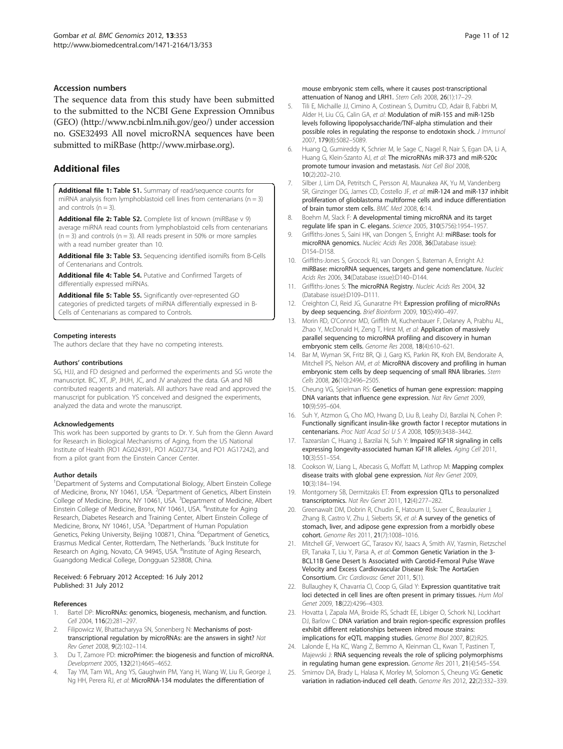#### <span id="page-10-0"></span>Accession numbers

The sequence data from this study have been submitted to the submitted to the NCBI Gene Expression Omnibus (GEO) [\(http://www.ncbi.nlm.nih.gov/geo/\)](http://www.ncbi.nlm.nih.gov/geo/) under accession no. GSE32493 All novel microRNA sequences have been submitted to miRBase [\(http://www.mirbase.org](http://www.mirbase.org)).

### Additional files

[Additional file 1:](http://www.biomedcentral.com/content/supplementary/1471-2164-13-353-S1.pdf) Table S1. Summary of read/sequence counts for miRNA analysis from lymphoblastoid cell lines from centenarians ( $n = 3$ ) and controls  $(n = 3)$ .

[Additional file 2:](http://www.biomedcentral.com/content/supplementary/1471-2164-13-353-S2.pdf) Table S2. Complete list of known (miRBase v 9) average miRNA read counts from lymphoblastoid cells from centenarians  $(n = 3)$  and controls  $(n = 3)$ . All reads present in 50% or more samples with a read number greater than 10.

[Additional file 3:](http://www.biomedcentral.com/content/supplementary/1471-2164-13-353-S3.pdf) Table S3. Sequencing identified isomiRs from B-Cells of Centenarians and Controls.

[Additional file 4:](http://www.biomedcentral.com/content/supplementary/1471-2164-13-353-S4.pdf) Table S4. Putative and Confirmed Targets of differentially expressed miRNAs.

[Additional file 5:](http://www.biomedcentral.com/content/supplementary/1471-2164-13-353-S5.pdf) Table S5. Significantly over-represented GO categories of predicted targets of miRNA differentially expressed in B-Cells of Centenarians as compared to Controls.

#### Competing interests

The authors declare that they have no competing interests.

#### Authors' contributions

SG, HJJ, and FD designed and performed the experiments and SG wrote the manuscript. BC, XT, JP, JHJH, JC, and JV analyzed the data. GA and NB contributed reagents and materials. All authors have read and approved the manuscript for publication. YS conceived and designed the experiments, analyzed the data and wrote the manuscript.

#### Acknowledgements

This work has been supported by grants to Dr. Y. Suh from the Glenn Award for Research in Biological Mechanisms of Aging, from the US National Institute of Health (RO1 AG024391, PO1 AG027734, and PO1 AG17242), and from a pilot grant from the Einstein Cancer Center.

#### Author details

<sup>1</sup>Department of Systems and Computational Biology, Albert Einstein College of Medicine, Bronx, NY 10461, USA. <sup>2</sup>Department of Genetics, Albert Einstein College of Medicine, Bronx, NY 10461, USA. <sup>3</sup>Department of Medicine, Albert Einstein College of Medicine, Bronx, NY 10461, USA. <sup>4</sup>Institute for Aging Research, Diabetes Research and Training Center, Albert Einstein College of Medicine, Bronx, NY 10461, USA. <sup>5</sup>Department of Human Population Genetics, Peking University, Beijing 100871, China. <sup>6</sup>Department of Genetics, Erasmus Medical Center, Rotterdam, The Netherlands. <sup>7</sup>Buck Institute for Research on Aging, Novato, CA 94945, USA. <sup>8</sup>Institute of Aging Research, Guangdong Medical College, Dongguan 523808, China.

#### Received: 6 February 2012 Accepted: 16 July 2012 Published: 31 July 2012

#### References

- Bartel DP: MicroRNAs: genomics, biogenesis, mechanism, and function. Cell 2004, 116(2):281–297.
- 2. Filipowicz W, Bhattacharyya SN, Sonenberg N: Mechanisms of posttranscriptional regulation by microRNAs: are the answers in sight? Nat Rev Genet 2008, 9(2):102–114.
- 3. Du T, Zamore PD: microPrimer: the biogenesis and function of microRNA. Development 2005, 132(21):4645–4652.
- Tay YM, Tam WL, Ang YS, Gaughwin PM, Yang H, Wang W, Liu R, George J, Ng HH, Perera RJ, et al: MicroRNA-134 modulates the differentiation of

mouse embryonic stem cells, where it causes post-transcriptional attenuation of Nanog and LRH1. Stem Cells 2008, 26(1):17–29. 5. Tili E, Michaille JJ, Cimino A, Costinean S, Dumitru CD, Adair B, Fabbri M,

- Alder H, Liu CG, Calin GA, et al: Modulation of miR-155 and miR-125b levels following lipopolysaccharide/TNF-alpha stimulation and their possible roles in regulating the response to endotoxin shock. J Immunol 2007, 179(8):5082–5089.
- 6. Huang Q, Gumireddy K, Schrier M, le Sage C, Nagel R, Nair S, Egan DA, Li A, Huang G, Klein-Szanto AJ, et al: The microRNAs miR-373 and miR-520c promote tumour invasion and metastasis. Nat Cell Biol 2008, 10(2):202–210.
- 7. Silber J, Lim DA, Petritsch C, Persson AI, Maunakea AK, Yu M, Vandenberg SR, Ginzinger DG, James CD, Costello JF, et al: miR-124 and miR-137 inhibit proliferation of glioblastoma multiforme cells and induce differentiation of brain tumor stem cells. BMC Med 2008, 6:14.
- 8. Boehm M, Slack F: A developmental timing microRNA and its target regulate life span in C. elegans. Science 2005, 310(5756):1954–1957.
- Griffiths-Jones S, Saini HK, van Dongen S, Enright AJ: miRBase: tools for microRNA genomics. Nucleic Acids Res 2008, 36(Database issue): D154–D158.
- 10. Griffiths-Jones S, Grocock RJ, van Dongen S, Bateman A, Enright AJ: miRBase: microRNA sequences, targets and gene nomenclature. Nucleic Acids Res 2006, 34(Database issue):D140–D144.
- 11. Griffiths-Jones S: The microRNA Registry. Nucleic Acids Res 2004, 32 (Database issue):D109–D111.
- 12. Creighton CJ, Reid JG, Gunaratne PH: Expression profiling of microRNAs by deep sequencing. Brief Bioinform 2009, 10(5):490–497.
- 13. Morin RD, O'Connor MD, Griffith M, Kuchenbauer F, Delaney A, Prabhu AL, Zhao Y, McDonald H, Zeng T, Hirst M, et al: Application of massively parallel sequencing to microRNA profiling and discovery in human embryonic stem cells. Genome Res 2008, 18(4):610–621.
- 14. Bar M, Wyman SK, Fritz BR, Qi J, Garg KS, Parkin RK, Kroh EM, Bendoraite A, Mitchell PS, Nelson AM, et al: MicroRNA discovery and profiling in human embryonic stem cells by deep sequencing of small RNA libraries. Stem Cells 2008, 26(10):2496–2505.
- 15. Cheung VG, Spielman RS: Genetics of human gene expression: mapping DNA variants that influence gene expression. Nat Rev Genet 2009, 10(9):595–604.
- 16. Suh Y, Atzmon G, Cho MO, Hwang D, Liu B, Leahy DJ, Barzilai N, Cohen P: Functionally significant insulin-like growth factor I receptor mutations in centenarians. Proc Natl Acad Sci U S A 2008, 105(9):3438–3442.
- 17. Tazearslan C, Huang J, Barzilai N, Suh Y: Impaired IGF1R signaling in cells expressing longevity-associated human IGF1R alleles. Aging Cell 2011, 10(3):551–554.
- 18. Cookson W, Liang L, Abecasis G, Moffatt M, Lathrop M: Mapping complex disease traits with global gene expression. Nat Rev Genet 2009, 10(3):184–194.
- 19. Montgomery SB, Dermitzakis ET: From expression QTLs to personalized transcriptomics. Nat Rev Genet 2011, 12(4):277–282.
- 20. Greenawalt DM, Dobrin R, Chudin E, Hatoum IJ, Suver C, Beaulaurier J, Zhang B, Castro V, Zhu J, Sieberts SK, et al: A survey of the genetics of stomach, liver, and adipose gene expression from a morbidly obese cohort. Genome Res 2011, 21(7):1008–1016.
- 21. Mitchell GF, Verwoert GC, Tarasov KV, Isaacs A, Smith AV, Yasmin, Rietzschel ER, Tanaka T, Liu Y, Parsa A, et al: Common Genetic Variation in the 3- BCL11B Gene Desert Is Associated with Carotid-Femoral Pulse Wave Velocity and Excess Cardiovascular Disease Risk: The AortaGen Consortium. Circ Cardiovasc Genet 2011, 5(1).
- 22. Bullaughey K, Chavarria CI, Coop G, Gilad Y: Expression quantitative trait loci detected in cell lines are often present in primary tissues. Hum Mol Genet 2009, 18(22):4296–4303.
- 23. Hovatta I, Zapala MA, Broide RS, Schadt EE, Libiger O, Schork NJ, Lockhart DJ, Barlow C: DNA variation and brain region-specific expression profiles exhibit different relationships between inbred mouse strains: implications for eQTL mapping studies. Genome Biol 2007, 8(2):R25.
- 24. Lalonde E, Ha KC, Wang Z, Bemmo A, Kleinman CL, Kwan T, Pastinen T, Majewski J: RNA sequencing reveals the role of splicing polymorphisms in regulating human gene expression. Genome Res 2011, 21(4):545–554.
- 25. Smirnov DA, Brady L, Halasa K, Morley M, Solomon S, Cheung VG: Genetic variation in radiation-induced cell death. Genome Res 2012, 22(2):332–339.